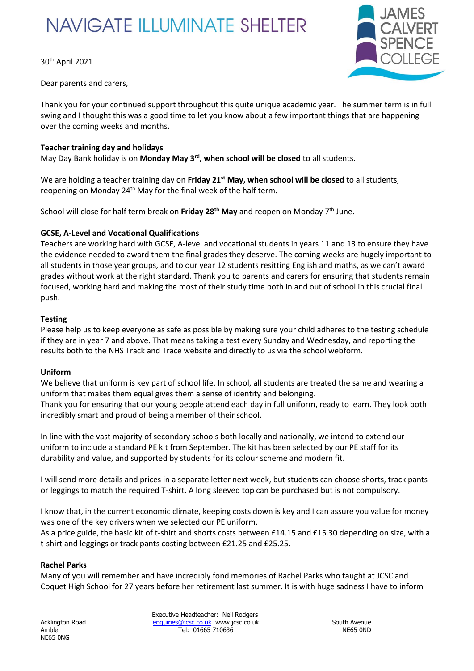# **NAVIGATE ILLUMINATE SHELTER**

30th April 2021



Dear parents and carers,

Thank you for your continued support throughout this quite unique academic year. The summer term is in full swing and I thought this was a good time to let you know about a few important things that are happening over the coming weeks and months.

## **Teacher training day and holidays**

May Day Bank holiday is on **Monday May 3rd, when school will be closed** to all students.

We are holding a teacher training day on **Friday 21st May, when school will be closed** to all students, reopening on Monday 24<sup>th</sup> May for the final week of the half term.

School will close for half term break on **Friday 28th May** and reopen on Monday 7th June.

## **GCSE, A-Level and Vocational Qualifications**

Teachers are working hard with GCSE, A-level and vocational students in years 11 and 13 to ensure they have the evidence needed to award them the final grades they deserve. The coming weeks are hugely important to all students in those year groups, and to our year 12 students resitting English and maths, as we can't award grades without work at the right standard. Thank you to parents and carers for ensuring that students remain focused, working hard and making the most of their study time both in and out of school in this crucial final push.

## **Testing**

Please help us to keep everyone as safe as possible by making sure your child adheres to the testing schedule if they are in year 7 and above. That means taking a test every Sunday and Wednesday, and reporting the results both to the NHS Track and Trace website and directly to us via the school webform.

#### **Uniform**

We believe that uniform is key part of school life. In school, all students are treated the same and wearing a uniform that makes them equal gives them a sense of identity and belonging. Thank you for ensuring that our young people attend each day in full uniform, ready to learn. They look both incredibly smart and proud of being a member of their school.

In line with the vast majority of secondary schools both locally and nationally, we intend to extend our uniform to include a standard PE kit from September. The kit has been selected by our PE staff for its durability and value, and supported by students for its colour scheme and modern fit.

I will send more details and prices in a separate letter next week, but students can choose shorts, track pants or leggings to match the required T-shirt. A long sleeved top can be purchased but is not compulsory.

I know that, in the current economic climate, keeping costs down is key and I can assure you value for money was one of the key drivers when we selected our PE uniform.

As a price guide, the basic kit of t-shirt and shorts costs between £14.15 and £15.30 depending on size, with a t-shirt and leggings or track pants costing between £21.25 and £25.25.

#### **Rachel Parks**

Many of you will remember and have incredibly fond memories of Rachel Parks who taught at JCSC and Coquet High School for 27 years before her retirement last summer. It is with huge sadness I have to inform